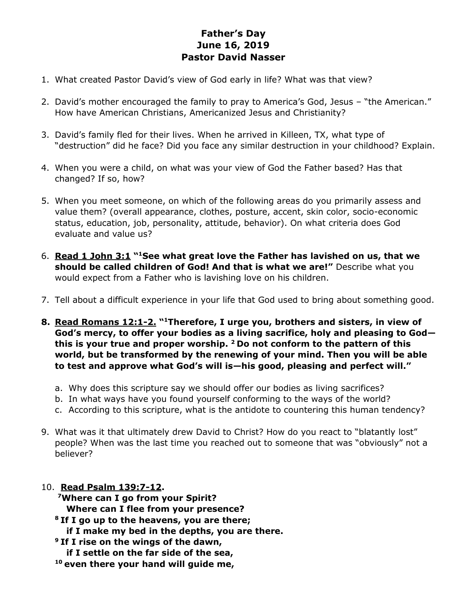## **Father's Day June 16, 2019 Pastor David Nasser**

- 1. What created Pastor David's view of God early in life? What was that view?
- 2. David's mother encouraged the family to pray to America's God, Jesus "the American." How have American Christians, Americanized Jesus and Christianity?
- 3. David's family fled for their lives. When he arrived in Killeen, TX, what type of "destruction" did he face? Did you face any similar destruction in your childhood? Explain.
- 4. When you were a child, on what was your view of God the Father based? Has that changed? If so, how?
- 5. When you meet someone, on which of the following areas do you primarily assess and value them? (overall appearance, clothes, posture, accent, skin color, socio-economic status, education, job, personality, attitude, behavior). On what criteria does God evaluate and value us?
- 6. **Read 1 John 3:1 " <sup>1</sup>See what great love the Father has lavished on us, that we should be called children of God! And that is what we are!"** Describe what you would expect from a Father who is lavishing love on his children.
- 7. Tell about a difficult experience in your life that God used to bring about something good.
- **8. Read Romans 12:1-2. " <sup>1</sup>Therefore, I urge you, brothers and sisters, in view of God's mercy, to offer your bodies as a living sacrifice, holy and pleasing to God this is your true and proper worship. <sup>2</sup>Do not conform to the pattern of this world, but be transformed by the renewing of your mind. Then you will be able to test and approve what God's will is—his good, pleasing and perfect will."**
	- a. Why does this scripture say we should offer our bodies as living sacrifices?
	- b. In what ways have you found yourself conforming to the ways of the world?
	- c. According to this scripture, what is the antidote to countering this human tendency?
- 9. What was it that ultimately drew David to Christ? How do you react to "blatantly lost" people? When was the last time you reached out to someone that was "obviously" not a believer?
- 10. **Read Psalm 139:7-12. <sup>7</sup>Where can I go from your Spirit? Where can I flee from your presence? <sup>8</sup>If I go up to the heavens, you are there; if I make my bed in the depths, you are there. <sup>9</sup>If I rise on the wings of the dawn, if I settle on the far side of the sea, <sup>10</sup> even there your hand will guide me,**